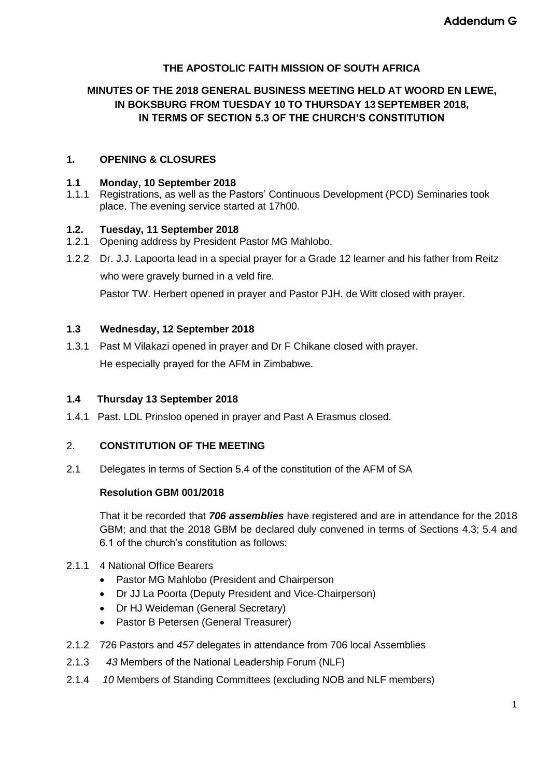### **THE APOSTOLIC FAITH MISSION OF SOUTH AFRICA**

### **MINUTES OF THE 2018 GENERAL BUSINESS MEETING HELD AT WOORD EN LEWE, IN BOKSBURG FROM TUESDAY 10 TO THURSDAY 13 SEPTEMBER 2018, IN TERMS OF SECTION 5.3 OF THE CHURCH'S CONSTITUTION**

### **1. OPENING & CLOSURES**

#### **1.1 Monday, 10 September 2018**

1.1.1 Registrations, as well as the Pastors' Continuous Development (PCD) Seminaries took place. The evening service started at 17h00.

#### **1.2. Tuesday, 11 September 2018**

- 1.2.1 Opening address by President Pastor MG Mahlobo.
- 1.2.2 Dr. J.J. Lapoorta lead in a special prayer for a Grade 12 learner and his father from Reitz who were gravely burned in a veld fire.

Pastor TW. Herbert opened in prayer and Pastor PJH. de Witt closed with prayer.

### **1.3 Wednesday, 12 September 2018**

1.3.1 Past M Vilakazi opened in prayer and Dr F Chikane closed with prayer. He especially prayed for the AFM in Zimbabwe.

#### **1.4 Thursday 13 September 2018**

1.4.1 Past. LDL Prinsloo opened in prayer and Past A Erasmus closed.

#### 2. **CONSTITUTION OF THE MEETING**

2.1 Delegates in terms of Section 5.4 of the constitution of the AFM of SA

#### **Resolution GBM 001/2018**

That it be recorded that *706 assemblies* have registered and are in attendance for the 2018 GBM; and that the 2018 GBM be declared duly convened in terms of Sections 4.3; 5.4 and 6.1 of the church's constitution as follows:

### 2.1.1 4 National Office Bearers

- Pastor MG Mahlobo (President and Chairperson
- Dr JJ La Poorta (Deputy President and Vice-Chairperson)
- Dr HJ Weideman (General Secretary)
- Pastor B Petersen (General Treasurer)
- 2.1.2 726 Pastors and *457* delegates in attendance from 706 local Assemblies
- 2.1.3 *43* Members of the National Leadership Forum (NLF)
- 2.1.4 *10* Members of Standing Committees (excluding NOB and NLF members)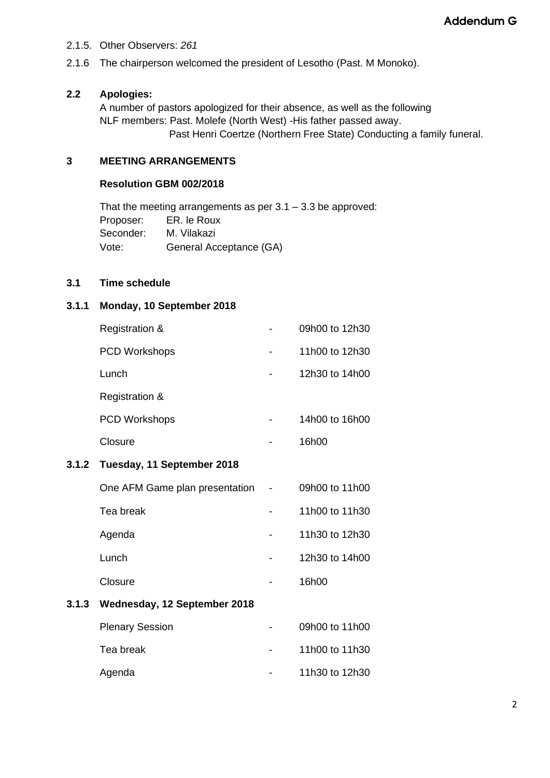- 2.1.5. Other Observers: *261*
- 2.1.6 The chairperson welcomed the president of Lesotho (Past. M Monoko).

### **2.2 Apologies:**

A number of pastors apologized for their absence, as well as the following NLF members: Past. Molefe (North West) -His father passed away. Past Henri Coertze (Northern Free State) Conducting a family funeral.

### **3 MEETING ARRANGEMENTS**

#### **Resolution GBM 002/2018**

That the meeting arrangements as per  $3.1 - 3.3$  be approved: Proposer: ER. le Roux Seconder: M. Vilakazi Vote: General Acceptance (GA)

#### **3.1 Time schedule**

**3.1.2** 

**3.1.3 Wednesday, 12 September 2018**

#### **3.1.1 Monday, 10 September 2018**

| <b>Registration &amp;</b>      |  | 09h00 to 12h30 |
|--------------------------------|--|----------------|
| <b>PCD Workshops</b>           |  | 11h00 to 12h30 |
| Lunch                          |  | 12h30 to 14h00 |
| <b>Registration &amp;</b>      |  |                |
| <b>PCD Workshops</b>           |  | 14h00 to 16h00 |
| Closure                        |  | 16h00          |
| Tuesday, 11 September 2018     |  |                |
| One AFM Game plan presentation |  | 09h00 to 11h00 |
| Tea break                      |  | 11h00 to 11h30 |
| Agenda                         |  | 11h30 to 12h30 |
| Lunch                          |  | 12h30 to 14h00 |
| Closure                        |  | 16h00          |
| Wednesday, 12 September 2018   |  |                |
| <b>Plenary Session</b>         |  | 09h00 to 11h00 |
| Tea break                      |  | 11h00 to 11h30 |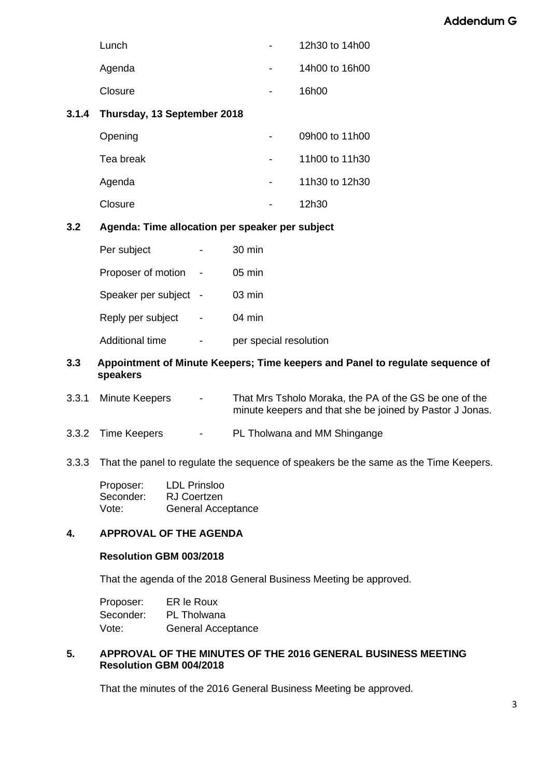| Lunch   | $\sim$                   | 12h30 to 14h00 |
|---------|--------------------------|----------------|
| Agenda  | $\overline{\phantom{a}}$ | 14h00 to 16h00 |
| Closure | -                        | 16h00          |

### **3.1.4 Thursday, 13 September 2018**

| Opening   | 09h00 to 11h00 |
|-----------|----------------|
| Tea break | 11h00 to 11h30 |
| Agenda    | 11h30 to 12h30 |
| Closure   | 12h30          |

### **3.2 Agenda: Time allocation per speaker per subject**

| Per subject         | 30 min                 |
|---------------------|------------------------|
| Proposer of motion  | $05 \text{ min}$       |
| Speaker per subject | $03 \text{ min}$       |
| Reply per subject   | $04 \text{ min}$       |
| Additional time     | per special resolution |

#### **3.3 Appointment of Minute Keepers; Time keepers and Panel to regulate sequence of speakers**

- 3.3.1 Minute Keepers That Mrs Tsholo Moraka, the PA of the GS be one of the minute keepers and that she be joined by Pastor J Jonas.
- 3.3.2 Time Keepers PL Tholwana and MM Shingange

### 3.3.3 That the panel to regulate the sequence of speakers be the same as the Time Keepers.

| Proposer: | <b>LDL Prinsloo</b>       |
|-----------|---------------------------|
| Seconder: | <b>RJ Coertzen</b>        |
| Vote:     | <b>General Acceptance</b> |

## **4. APPROVAL OF THE AGENDA**

### **Resolution GBM 003/2018**

That the agenda of the 2018 General Business Meeting be approved.

| Proposer: | ER le Roux         |
|-----------|--------------------|
| Seconder: | <b>PL</b> Tholwana |
| Vote:     | General Acceptance |

### **5. APPROVAL OF THE MINUTES OF THE 2016 GENERAL BUSINESS MEETING Resolution GBM 004/2018**

That the minutes of the 2016 General Business Meeting be approved.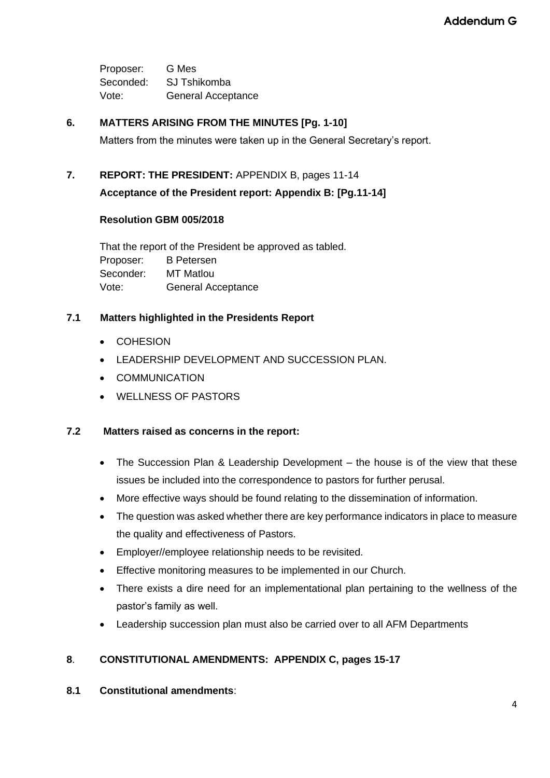Proposer: G Mes Seconded: SJ Tshikomba Vote: General Acceptance

### **6. MATTERS ARISING FROM THE MINUTES [Pg. 1-10]**

Matters from the minutes were taken up in the General Secretary's report.

### **7. REPORT: THE PRESIDENT:** APPENDIX B, pages 11-14

**Acceptance of the President report: Appendix B: [Pg.11-14]**

### **Resolution GBM 005/2018**

That the report of the President be approved as tabled. Proposer: B Petersen Seconder: MT Matlou Vote: General Acceptance

### **7.1 Matters highlighted in the Presidents Report**

- COHESION
- LEADERSHIP DEVELOPMENT AND SUCCESSION PLAN.
- COMMUNICATION
- WELLNESS OF PASTORS

### **7.2 Matters raised as concerns in the report:**

- The Succession Plan & Leadership Development the house is of the view that these issues be included into the correspondence to pastors for further perusal.
- More effective ways should be found relating to the dissemination of information.
- The question was asked whether there are key performance indicators in place to measure the quality and effectiveness of Pastors.
- Employer//employee relationship needs to be revisited.
- Effective monitoring measures to be implemented in our Church.
- There exists a dire need for an implementational plan pertaining to the wellness of the pastor's family as well.
- Leadership succession plan must also be carried over to all AFM Departments

### **8**. **CONSTITUTIONAL AMENDMENTS: APPENDIX C, pages 15-17**

**8.1 Constitutional amendments**: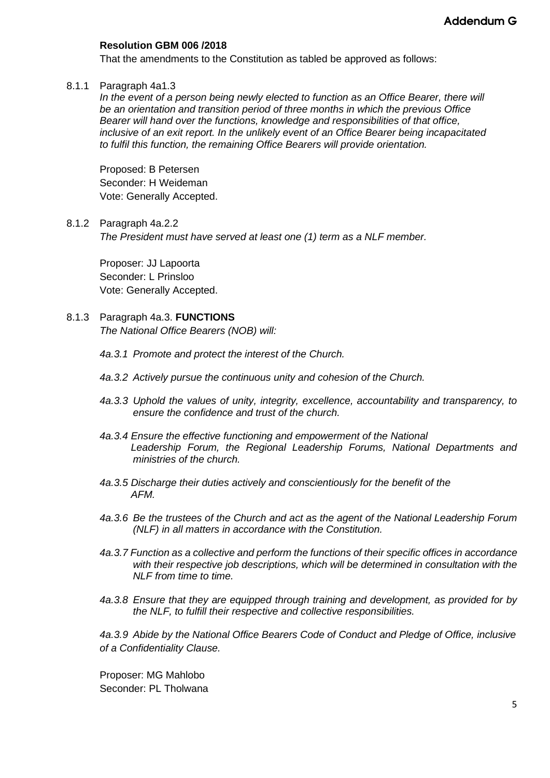### **Resolution GBM 006 /2018**

That the amendments to the Constitution as tabled be approved as follows:

#### 8.1.1 Paragraph 4a1.3

*In the event of a person being newly elected to function as an Office Bearer, there will be an orientation and transition period of three months in which the previous Office Bearer will hand over the functions, knowledge and responsibilities of that office, inclusive of an exit report. In the unlikely event of an Office Bearer being incapacitated to fulfil this function, the remaining Office Bearers will provide orientation.* 

Proposed: B Petersen Seconder: H Weideman Vote: Generally Accepted.

#### 8.1.2 Paragraph 4a.2.2

*The President must have served at least one (1) term as a NLF member.*

Proposer: JJ Lapoorta Seconder: L Prinsloo Vote: Generally Accepted.

# 8.1.3 Paragraph 4a.3. **FUNCTIONS**

*The National Office Bearers (NOB) will:*

- *4a.3.1 Promote and protect the interest of the Church.*
- *4a.3.2 Actively pursue the continuous unity and cohesion of the Church.*
- *4a.3.3 Uphold the values of unity, integrity, excellence, accountability and transparency, to ensure the confidence and trust of the church.*
- *4a.3.4 Ensure the effective functioning and empowerment of the National Leadership Forum, the Regional Leadership Forums, National Departments and ministries of the church.*
- *4a.3.5 Discharge their duties actively and conscientiously for the benefit of the AFM.*
- *4a.3.6 Be the trustees of the Church and act as the agent of the National Leadership Forum (NLF) in all matters in accordance with the Constitution.*
- *4a.3.7 Function as a collective and perform the functions of their specific offices in accordance with their respective job descriptions, which will be determined in consultation with the NLF from time to time.*
- *4a.3.8 Ensure that they are equipped through training and development, as provided for by the NLF, to fulfill their respective and collective responsibilities.*

*4a.3.9 Abide by the National Office Bearers Code of Conduct and Pledge of Office, inclusive of a Confidentiality Clause.*

Proposer: MG Mahlobo Seconder: PL Tholwana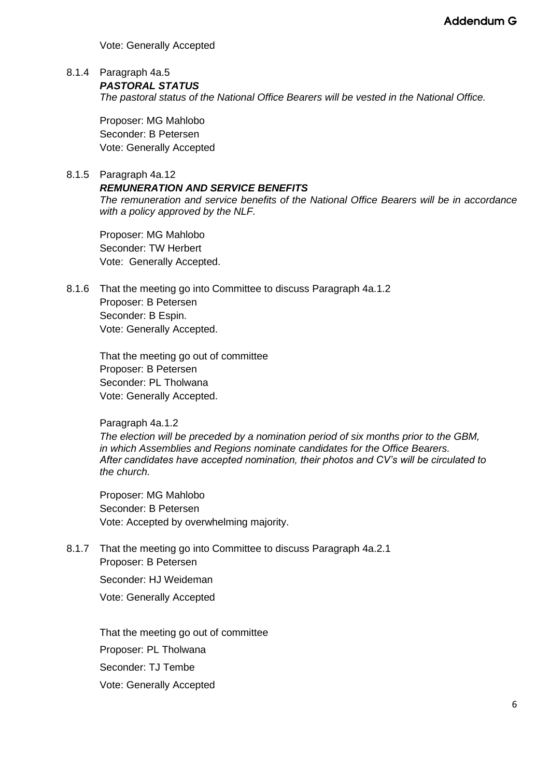Vote: Generally Accepted

8.1.4 Paragraph 4a.5

*PASTORAL STATUS*

*The pastoral status of the National Office Bearers will be vested in the National Office.*

Proposer: MG Mahlobo Seconder: B Petersen Vote: Generally Accepted

### 8.1.5 Paragraph 4a.12

### *REMUNERATION AND SERVICE BENEFITS*

*The remuneration and service benefits of the National Office Bearers will be in accordance with a policy approved by the NLF.* 

Proposer: MG Mahlobo Seconder: TW Herbert Vote: Generally Accepted.

8.1.6 That the meeting go into Committee to discuss Paragraph 4a.1.2 Proposer: B Petersen Seconder: B Espin. Vote: Generally Accepted.

> That the meeting go out of committee Proposer: B Petersen Seconder: PL Tholwana Vote: Generally Accepted.

Paragraph 4a.1.2

*The election will be preceded by a nomination period of six months prior to the GBM, in which Assemblies and Regions nominate candidates for the Office Bearers. After candidates have accepted nomination, their photos and CV's will be circulated to the church.*

Proposer: MG Mahlobo Seconder: B Petersen Vote: Accepted by overwhelming majority.

8.1.7 That the meeting go into Committee to discuss Paragraph 4a.2.1 Proposer: B Petersen

Seconder: HJ Weideman

Vote: Generally Accepted

That the meeting go out of committee Proposer: PL Tholwana Seconder: TJ Tembe Vote: Generally Accepted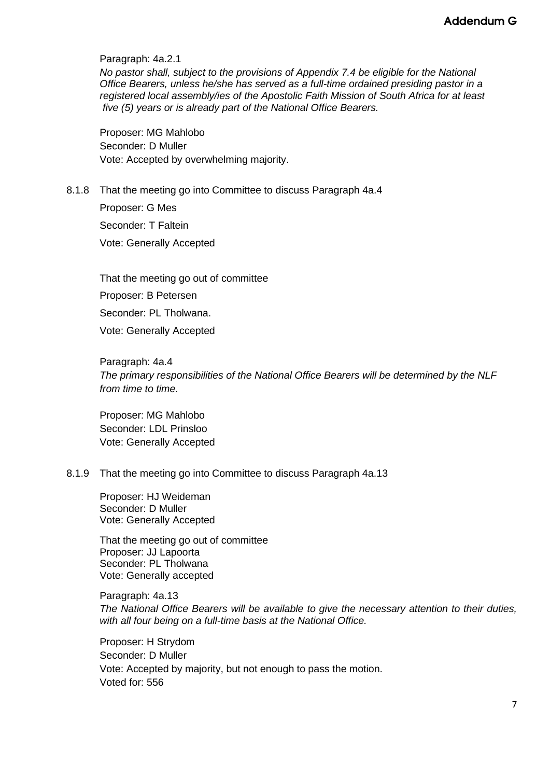Paragraph: 4a.2.1

*No pastor shall, subject to the provisions of Appendix 7.4 be eligible for the National Office Bearers, unless he/she has served as a full-time ordained presiding pastor in a registered local assembly/ies of the Apostolic Faith Mission of South Africa for at least five (5) years or is already part of the National Office Bearers.*

Proposer: MG Mahlobo Seconder: D Muller Vote: Accepted by overwhelming majority.

# 8.1.8 That the meeting go into Committee to discuss Paragraph 4a.4

Proposer: G Mes Seconder: T Faltein Vote: Generally Accepted

That the meeting go out of committee Proposer: B Petersen Seconder: PL Tholwana. Vote: Generally Accepted

Paragraph: 4a.4 *The primary responsibilities of the National Office Bearers will be determined by the NLF from time to time.*

Proposer: MG Mahlobo Seconder: LDL Prinsloo Vote: Generally Accepted

#### 8.1.9 That the meeting go into Committee to discuss Paragraph 4a.13

Proposer: HJ Weideman Seconder: D Muller Vote: Generally Accepted

That the meeting go out of committee Proposer: JJ Lapoorta Seconder: PL Tholwana Vote: Generally accepted

Paragraph: 4a.13 *The National Office Bearers will be available to give the necessary attention to their duties, with all four being on a full-time basis at the National Office.*

Proposer: H Strydom Seconder: D Muller Vote: Accepted by majority, but not enough to pass the motion. Voted for: 556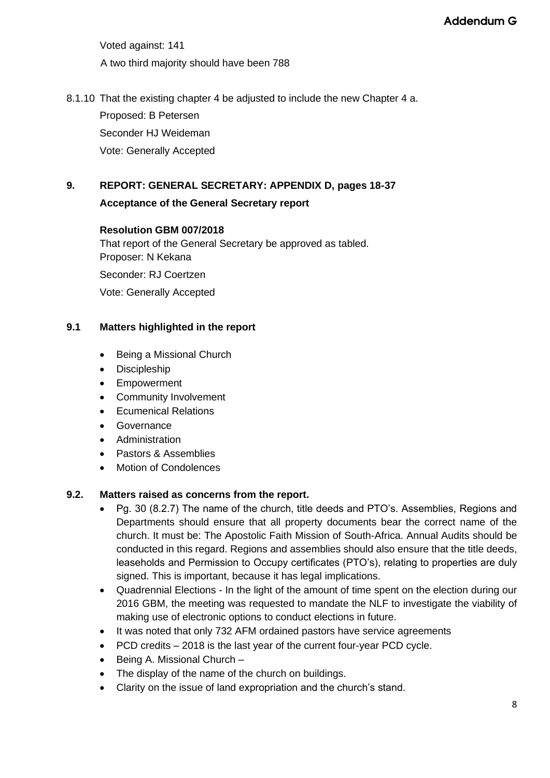Voted against: 141 A two third majority should have been 788

8.1.10 That the existing chapter 4 be adjusted to include the new Chapter 4 a.

Proposed: B Petersen

Seconder HJ Weideman

Vote: Generally Accepted

# **9. REPORT: GENERAL SECRETARY: APPENDIX D, pages 18-37**

### **Acceptance of the General Secretary report**

### **Resolution GBM 007/2018**

That report of the General Secretary be approved as tabled. Proposer: N Kekana

Seconder: RJ Coertzen

Vote: Generally Accepted

### **9.1 Matters highlighted in the report**

- Being a Missional Church
- Discipleship
- Empowerment
- Community Involvement
- Ecumenical Relations
- **Governance**
- Administration
- Pastors & Assemblies
- Motion of Condolences

### **9.2. Matters raised as concerns from the report.**

- Pg. 30 (8.2.7) The name of the church, title deeds and PTO's. Assemblies, Regions and Departments should ensure that all property documents bear the correct name of the church. It must be: The Apostolic Faith Mission of South-Africa. Annual Audits should be conducted in this regard. Regions and assemblies should also ensure that the title deeds, leaseholds and Permission to Occupy certificates (PTO's), relating to properties are duly signed. This is important, because it has legal implications.
- Quadrennial Elections In the light of the amount of time spent on the election during our 2016 GBM, the meeting was requested to mandate the NLF to investigate the viability of making use of electronic options to conduct elections in future.
- It was noted that only 732 AFM ordained pastors have service agreements
- PCD credits 2018 is the last year of the current four-year PCD cycle.
- Being A. Missional Church –
- The display of the name of the church on buildings.
- Clarity on the issue of land expropriation and the church's stand.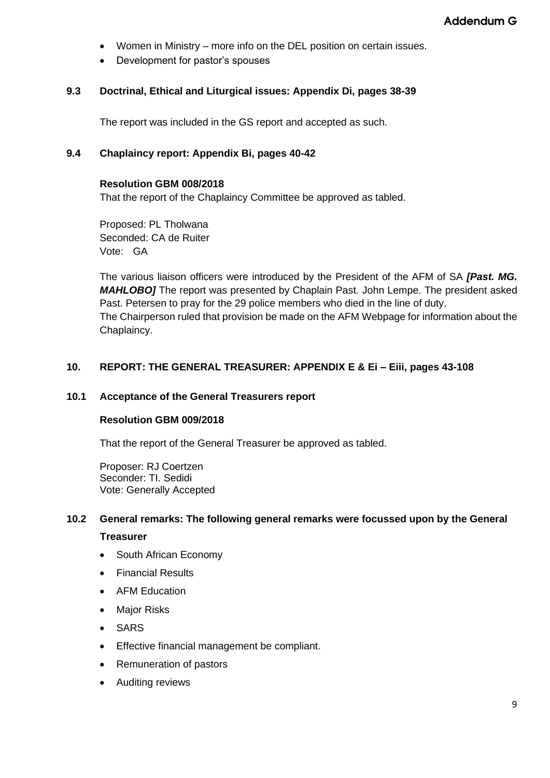- Women in Ministry more info on the DEL position on certain issues.
- Development for pastor's spouses

### **9.3 Doctrinal, Ethical and Liturgical issues: Appendix Di, pages 38-39**

The report was included in the GS report and accepted as such.

### **9.4 Chaplaincy report: Appendix Bi, pages 40-42**

#### **Resolution GBM 008/2018**

That the report of the Chaplaincy Committee be approved as tabled.

Proposed: PL Tholwana Seconded: CA de Ruiter Vote: GA

The various liaison officers were introduced by the President of the AFM of SA *[Past. MG. MAHLOBO]* The report was presented by Chaplain Past. John Lempe. The president asked Past. Petersen to pray for the 29 police members who died in the line of duty. The Chairperson ruled that provision be made on the AFM Webpage for information about the Chaplaincy.

### **10. REPORT: THE GENERAL TREASURER: APPENDIX E & Ei – Eiii, pages 43-108**

#### **10.1 Acceptance of the General Treasurers report**

#### **Resolution GBM 009/2018**

That the report of the General Treasurer be approved as tabled.

Proposer: RJ Coertzen Seconder: TI. Sedidi Vote: Generally Accepted

#### **10.2 General remarks: The following general remarks were focussed upon by the General**

#### **Treasurer**

- South African Economy
- Financial Results
- AFM Education
- Major Risks
- SARS
- Effective financial management be compliant.
- Remuneration of pastors
- Auditing reviews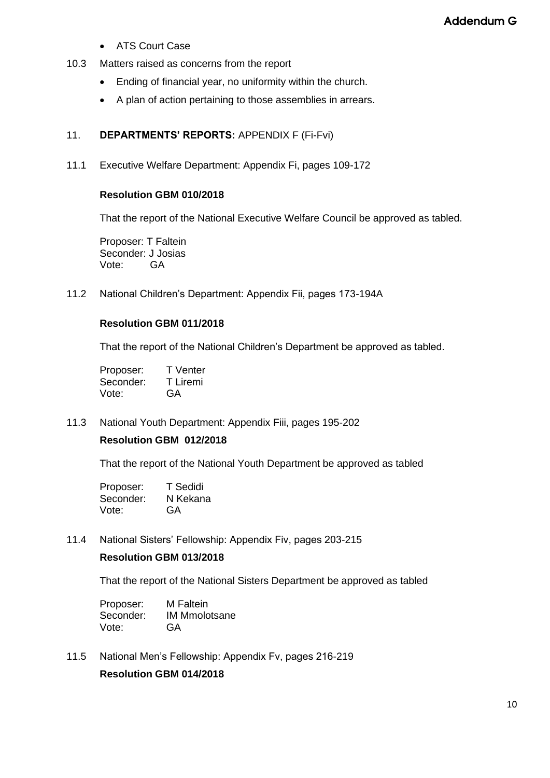- ATS Court Case
- 10.3 Matters raised as concerns from the report
	- Ending of financial year, no uniformity within the church.
	- A plan of action pertaining to those assemblies in arrears.

#### 11. **DEPARTMENTS' REPORTS:** APPENDIX F (Fi-Fvi)

11.1 Executive Welfare Department: Appendix Fi, pages 109-172

#### **Resolution GBM 010/2018**

That the report of the National Executive Welfare Council be approved as tabled.

Proposer: T Faltein Seconder: J Josias Vote: GA

11.2 National Children's Department: Appendix Fii, pages 173-194A

### **Resolution GBM 011/2018**

That the report of the National Children's Department be approved as tabled.

Proposer: T Venter Seconder: T Liremi Vote: GA

11.3 National Youth Department: Appendix Fiii, pages 195-202

### **Resolution GBM 012/2018**

That the report of the National Youth Department be approved as tabled

| Proposer: | T Sedidi |
|-----------|----------|
| Seconder: | N Kekana |
| Vote:     | GA       |

11.4 National Sisters' Fellowship: Appendix Fiv, pages 203-215

#### **Resolution GBM 013/2018**

That the report of the National Sisters Department be approved as tabled

Proposer: M Faltein Seconder: IM Mmolotsane Vote: GA

11.5 National Men's Fellowship: Appendix Fv, pages 216-219

**Resolution GBM 014/2018**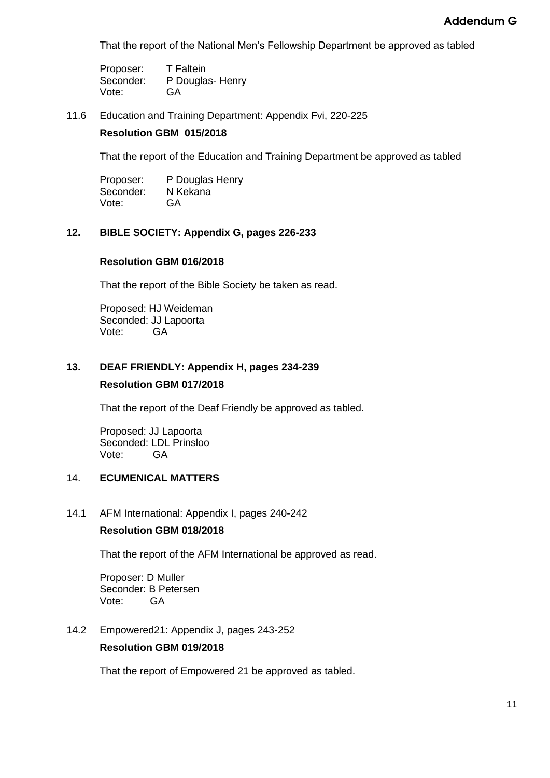That the report of the National Men's Fellowship Department be approved as tabled

Proposer: T Faltein Seconder: P Douglas- Henry Vote: GA

11.6 Education and Training Department: Appendix Fvi, 220-225

### **Resolution GBM 015/2018**

That the report of the Education and Training Department be approved as tabled

Proposer: P Douglas Henry Seconder: N Kekana Vote: GA

### **12. BIBLE SOCIETY: Appendix G, pages 226-233**

#### **Resolution GBM 016/2018**

That the report of the Bible Society be taken as read.

Proposed: HJ Weideman Seconded: JJ Lapoorta Vote: GA

# **13. DEAF FRIENDLY: Appendix H, pages 234-239 Resolution GBM 017/2018**

That the report of the Deaf Friendly be approved as tabled.

Proposed: JJ Lapoorta Seconded: LDL Prinsloo Vote: GA

### 14. **ECUMENICAL MATTERS**

#### 14.1 AFM International: Appendix I, pages 240-242

#### **Resolution GBM 018/2018**

That the report of the AFM International be approved as read.

Proposer: D Muller Seconder: B Petersen Vote: GA

#### 14.2 Empowered21: Appendix J, pages 243-252

#### **Resolution GBM 019/2018**

That the report of Empowered 21 be approved as tabled.